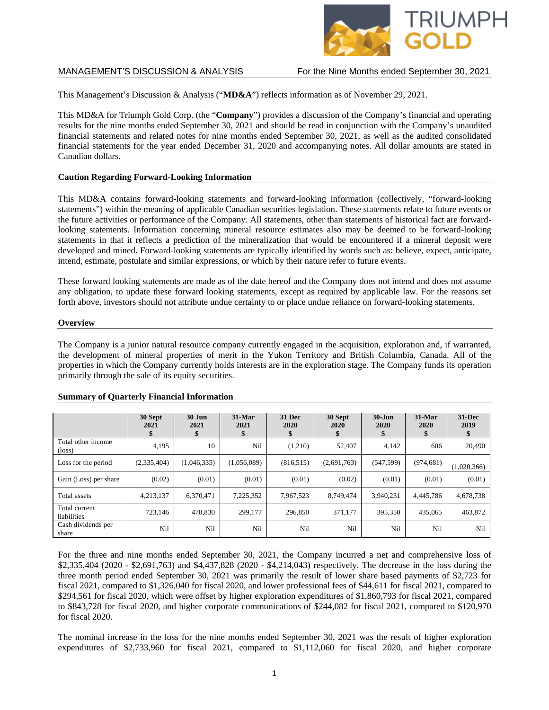

This Management's Discussion & Analysis ("**MD&A**") reflects information as of November 29, 2021.

This MD&A for Triumph Gold Corp. (the "**Company**") provides a discussion of the Company's financial and operating results for the nine months ended September 30, 2021 and should be read in conjunction with the Company's unaudited financial statements and related notes for nine months ended September 30, 2021, as well as the audited consolidated financial statements for the year ended December 31, 2020 and accompanying notes. All dollar amounts are stated in Canadian dollars.

## **Caution Regarding Forward-Looking Information**

This MD&A contains forward-looking statements and forward-looking information (collectively, "forward-looking statements") within the meaning of applicable Canadian securities legislation. These statements relate to future events or the future activities or performance of the Company. All statements, other than statements of historical fact are forwardlooking statements. Information concerning mineral resource estimates also may be deemed to be forward-looking statements in that it reflects a prediction of the mineralization that would be encountered if a mineral deposit were developed and mined. Forward-looking statements are typically identified by words such as: believe, expect, anticipate, intend, estimate, postulate and similar expressions, or which by their nature refer to future events.

These forward looking statements are made as of the date hereof and the Company does not intend and does not assume any obligation, to update these forward looking statements, except as required by applicable law. For the reasons set forth above, investors should not attribute undue certainty to or place undue reliance on forward-looking statements.

### **Overview**

The Company is a junior natural resource company currently engaged in the acquisition, exploration and, if warranted, the development of mineral properties of merit in the Yukon Territory and British Columbia, Canada. All of the properties in which the Company currently holds interests are in the exploration stage. The Company funds its operation primarily through the sale of its equity securities.

|                                       | 30 Sept<br>2021<br>\$ | <b>30 Jun</b><br>2021<br>\$ | $31-Mar$<br>2021<br>\$ | 31 Dec<br>2020<br>\$ | 30 Sept<br>2020<br>\$ | $30 - Jun$<br>2020 | 31-Mar<br>2020 | $31 - Dec$<br>2019 |
|---------------------------------------|-----------------------|-----------------------------|------------------------|----------------------|-----------------------|--------------------|----------------|--------------------|
| Total other income<br>$(\text{loss})$ | 4,195                 | 10                          | Nil                    | (1,210)              | 52.407                | 4,142              | 606            | 20,490             |
| Loss for the period                   | (2,335,404)           | (1,046,335)                 | (1,056,089)            | (816, 515)           | (2,691,763)           | (547, 599)         | (974, 681)     | (1,020,366)        |
| Gain (Loss) per share                 | (0.02)                | (0.01)                      | (0.01)                 | (0.01)               | (0.02)                | (0.01)             | (0.01)         | (0.01)             |
| Total assets                          | 4,213,137             | 6.370.471                   | 7,225,352              | 7,967,523            | 8.749.474             | 3.940.231          | 4.445.786      | 4,678,738          |
| Total current<br>liabilities          | 723.146               | 478,830                     | 299,177                | 296,850              | 371,177               | 395,350            | 435,065        | 463,872            |
| Cash dividends per<br>share           | Nil                   | Nil                         | Nil                    | Nil                  | Nil                   | Nil                | Nil            | Nil                |

### **Summary of Quarterly Financial Information**

For the three and nine months ended September 30, 2021, the Company incurred a net and comprehensive loss of \$2,335,404 (2020 - \$2,691,763) and \$4,437,828 (2020 - \$4,214,043) respectively. The decrease in the loss during the three month period ended September 30, 2021 was primarily the result of lower share based payments of \$2,723 for fiscal 2021, compared to \$1,326,040 for fiscal 2020, and lower professional fees of \$44,611 for fiscal 2021, compared to \$294,561 for fiscal 2020, which were offset by higher exploration expenditures of \$1,860,793 for fiscal 2021, compared to \$843,728 for fiscal 2020, and higher corporate communications of \$244,082 for fiscal 2021, compared to \$120,970 for fiscal 2020.

The nominal increase in the loss for the nine months ended September 30, 2021 was the result of higher exploration expenditures of \$2,733,960 for fiscal 2021, compared to \$1,112,060 for fiscal 2020, and higher corporate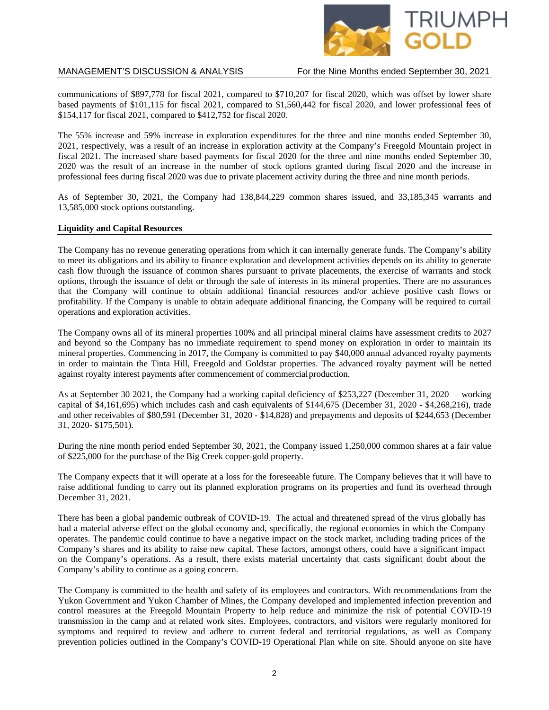

communications of \$897,778 for fiscal 2021, compared to \$710,207 for fiscal 2020, which was offset by lower share based payments of \$101,115 for fiscal 2021, compared to \$1,560,442 for fiscal 2020, and lower professional fees of \$154,117 for fiscal 2021, compared to \$412,752 for fiscal 2020.

The 55% increase and 59% increase in exploration expenditures for the three and nine months ended September 30, 2021, respectively, was a result of an increase in exploration activity at the Company's Freegold Mountain project in fiscal 2021. The increased share based payments for fiscal 2020 for the three and nine months ended September 30, 2020 was the result of an increase in the number of stock options granted during fiscal 2020 and the increase in professional fees during fiscal 2020 was due to private placement activity during the three and nine month periods.

As of September 30, 2021, the Company had 138,844,229 common shares issued, and 33,185,345 warrants and 13,585,000 stock options outstanding.

### **Liquidity and Capital Resources**

The Company has no revenue generating operations from which it can internally generate funds. The Company's ability to meet its obligations and its ability to finance exploration and development activities depends on its ability to generate cash flow through the issuance of common shares pursuant to private placements, the exercise of warrants and stock options, through the issuance of debt or through the sale of interests in its mineral properties. There are no assurances that the Company will continue to obtain additional financial resources and/or achieve positive cash flows or profitability. If the Company is unable to obtain adequate additional financing, the Company will be required to curtail operations and exploration activities.

The Company owns all of its mineral properties 100% and all principal mineral claims have assessment credits to 2027 and beyond so the Company has no immediate requirement to spend money on exploration in order to maintain its mineral properties. Commencing in 2017, the Company is committed to pay \$40,000 annual advanced royalty payments in order to maintain the Tinta Hill, Freegold and Goldstar properties. The advanced royalty payment will be netted against royalty interest payments after commencement of commercialproduction.

As at September 30 2021, the Company had a working capital deficiency of \$253,227 (December 31, 2020 – working capital of \$4,161,695) which includes cash and cash equivalents of \$144,675 (December 31, 2020 - \$4,268,216), trade and other receivables of \$80,591 (December 31, 2020 - \$14,828) and prepayments and deposits of \$244,653 (December 31, 2020- \$175,501).

During the nine month period ended September 30, 2021, the Company issued 1,250,000 common shares at a fair value of \$225,000 for the purchase of the Big Creek copper-gold property.

The Company expects that it will operate at a loss for the foreseeable future. The Company believes that it will have to raise additional funding to carry out its planned exploration programs on its properties and fund its overhead through December 31, 2021.

There has been a global pandemic outbreak of COVID-19. The actual and threatened spread of the virus globally has had a material adverse effect on the global economy and, specifically, the regional economies in which the Company operates. The pandemic could continue to have a negative impact on the stock market, including trading prices of the Company's shares and its ability to raise new capital. These factors, amongst others, could have a significant impact on the Company's operations. As a result, there exists material uncertainty that casts significant doubt about the Company's ability to continue as a going concern.

The Company is committed to the health and safety of its employees and contractors. With recommendations from the Yukon Government and Yukon Chamber of Mines, the Company developed and implemented infection prevention and control measures at the Freegold Mountain Property to help reduce and minimize the risk of potential COVID-19 transmission in the camp and at related work sites. Employees, contractors, and visitors were regularly monitored for symptoms and required to review and adhere to current federal and territorial regulations, as well as Company prevention policies outlined in the Company's COVID-19 Operational Plan while on site. Should anyone on site have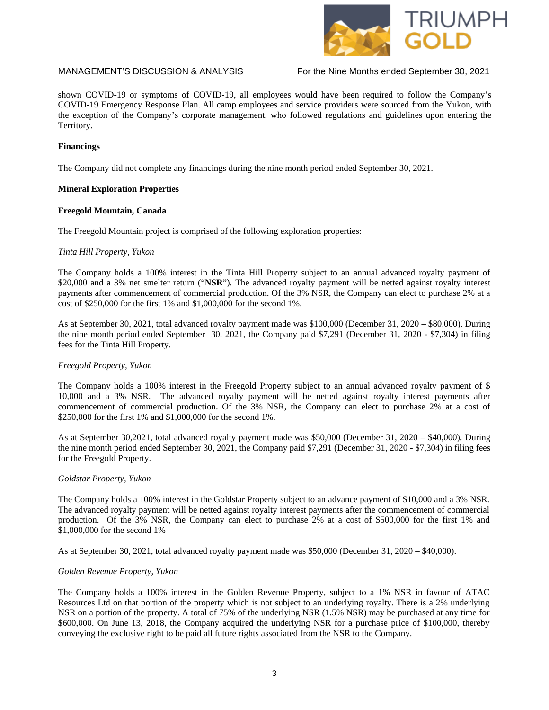

shown COVID-19 or symptoms of COVID-19, all employees would have been required to follow the Company's COVID-19 Emergency Response Plan. All camp employees and service providers were sourced from the Yukon, with the exception of the Company's corporate management, who followed regulations and guidelines upon entering the Territory.

## **Financings**

The Company did not complete any financings during the nine month period ended September 30, 2021.

## **Mineral Exploration Properties**

## **Freegold Mountain, Canada**

The Freegold Mountain project is comprised of the following exploration properties:

## *Tinta Hill Property, Yukon*

The Company holds a 100% interest in the Tinta Hill Property subject to an annual advanced royalty payment of \$20,000 and a 3% net smelter return ("**NSR**"). The advanced royalty payment will be netted against royalty interest payments after commencement of commercial production. Of the 3% NSR, the Company can elect to purchase 2% at a cost of \$250,000 for the first 1% and \$1,000,000 for the second 1%.

As at September 30, 2021, total advanced royalty payment made was \$100,000 (December 31, 2020 – \$80,000). During the nine month period ended September 30, 2021, the Company paid \$7,291 (December 31, 2020 - \$7,304) in filing fees for the Tinta Hill Property.

## *Freegold Property, Yukon*

The Company holds a 100% interest in the Freegold Property subject to an annual advanced royalty payment of \$ 10,000 and a 3% NSR. The advanced royalty payment will be netted against royalty interest payments after commencement of commercial production. Of the 3% NSR, the Company can elect to purchase 2% at a cost of \$250,000 for the first 1% and \$1,000,000 for the second 1%.

As at September 30,2021, total advanced royalty payment made was \$50,000 (December 31, 2020 – \$40,000). During the nine month period ended September 30, 2021, the Company paid \$7,291 (December 31, 2020 - \$7,304) in filing fees for the Freegold Property.

### *Goldstar Property, Yukon*

The Company holds a 100% interest in the Goldstar Property subject to an advance payment of \$10,000 and a 3% NSR. The advanced royalty payment will be netted against royalty interest payments after the commencement of commercial production. Of the 3% NSR, the Company can elect to purchase 2% at a cost of \$500,000 for the first 1% and \$1,000,000 for the second 1%

As at September 30, 2021, total advanced royalty payment made was \$50,000 (December 31, 2020 – \$40,000).

### *Golden Revenue Property, Yukon*

The Company holds a 100% interest in the Golden Revenue Property, subject to a 1% NSR in favour of ATAC Resources Ltd on that portion of the property which is not subject to an underlying royalty. There is a 2% underlying NSR on a portion of the property. A total of 75% of the underlying NSR (1.5% NSR) may be purchased at any time for \$600,000. On June 13, 2018, the Company acquired the underlying NSR for a purchase price of \$100,000, thereby conveying the exclusive right to be paid all future rights associated from the NSR to the Company.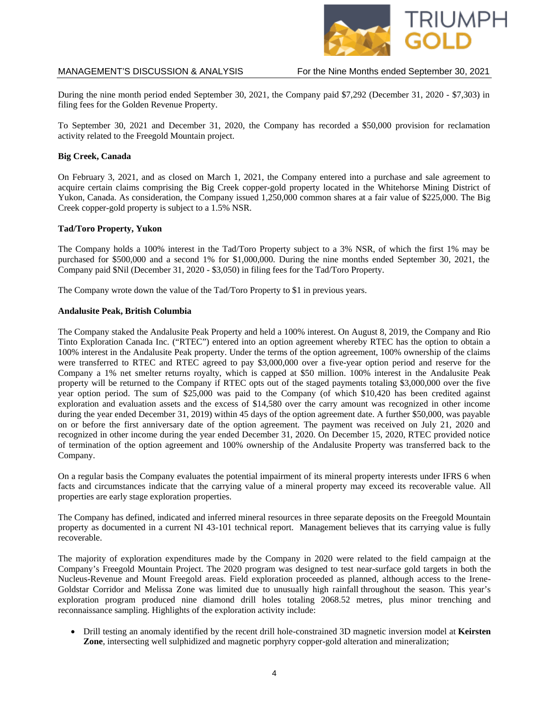

During the nine month period ended September 30, 2021, the Company paid \$7,292 (December 31, 2020 - \$7,303) in filing fees for the Golden Revenue Property.

To September 30, 2021 and December 31, 2020, the Company has recorded a \$50,000 provision for reclamation activity related to the Freegold Mountain project.

## **Big Creek, Canada**

On February 3, 2021, and as closed on March 1, 2021, the Company entered into a purchase and sale agreement to acquire certain claims comprising the Big Creek copper-gold property located in the Whitehorse Mining District of Yukon, Canada. As consideration, the Company issued 1,250,000 common shares at a fair value of \$225,000. The Big Creek copper-gold property is subject to a 1.5% NSR.

## **Tad/Toro Property, Yukon**

The Company holds a 100% interest in the Tad/Toro Property subject to a 3% NSR, of which the first 1% may be purchased for \$500,000 and a second 1% for \$1,000,000. During the nine months ended September 30, 2021, the Company paid \$Nil (December 31, 2020 - \$3,050) in filing fees for the Tad/Toro Property.

The Company wrote down the value of the Tad/Toro Property to \$1 in previous years.

### **Andalusite Peak, British Columbia**

The Company staked the Andalusite Peak Property and held a 100% interest. On August 8, 2019, the Company and Rio Tinto Exploration Canada Inc. ("RTEC") entered into an option agreement whereby RTEC has the option to obtain a 100% interest in the Andalusite Peak property. Under the terms of the option agreement, 100% ownership of the claims were transferred to RTEC and RTEC agreed to pay \$3,000,000 over a five-year option period and reserve for the Company a 1% net smelter returns royalty, which is capped at \$50 million. 100% interest in the Andalusite Peak property will be returned to the Company if RTEC opts out of the staged payments totaling \$3,000,000 over the five year option period. The sum of \$25,000 was paid to the Company (of which \$10,420 has been credited against exploration and evaluation assets and the excess of \$14,580 over the carry amount was recognized in other income during the year ended December 31, 2019) within 45 days of the option agreement date. A further \$50,000, was payable on or before the first anniversary date of the option agreement. The payment was received on July 21, 2020 and recognized in other income during the year ended December 31, 2020. On December 15, 2020, RTEC provided notice of termination of the option agreement and 100% ownership of the Andalusite Property was transferred back to the Company.

On a regular basis the Company evaluates the potential impairment of its mineral property interests under IFRS 6 when facts and circumstances indicate that the carrying value of a mineral property may exceed its recoverable value. All properties are early stage exploration properties.

The Company has defined, indicated and inferred mineral resources in three separate deposits on the Freegold Mountain property as documented in a current NI 43-101 technical report. Management believes that its carrying value is fully recoverable.

The majority of exploration expenditures made by the Company in 2020 were related to the field campaign at the Company's Freegold Mountain Project. The 2020 program was designed to test near-surface gold targets in both the Nucleus-Revenue and Mount Freegold areas. Field exploration proceeded as planned, although access to the Irene-Goldstar Corridor and Melissa Zone was limited due to unusually high rainfall throughout the season. This year's exploration program produced nine diamond drill holes totaling 2068.52 metres, plus minor trenching and reconnaissance sampling. Highlights of the exploration activity include:

• Drill testing an anomaly identified by the recent drill hole-constrained 3D magnetic inversion model at **Keirsten Zone**, intersecting well sulphidized and magnetic porphyry copper-gold alteration and mineralization;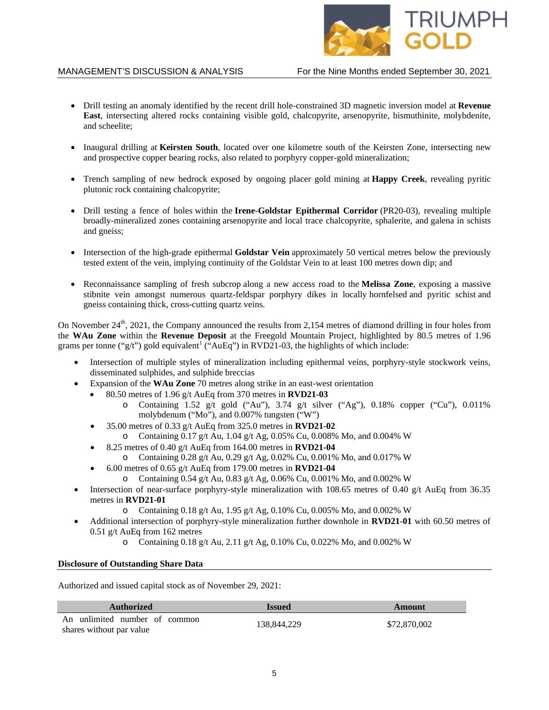

- Drill testing an anomaly identified by the recent drill hole-constrained 3D magnetic inversion model at **Revenue East**, intersecting altered rocks containing visible gold, chalcopyrite, arsenopyrite, bismuthinite, molybdenite, and scheelite;
- Inaugural drilling at **Keirsten South**, located over one kilometre south of the Keirsten Zone, intersecting new and prospective copper bearing rocks, also related to porphyry copper-gold mineralization;
- Trench sampling of new bedrock exposed by ongoing placer gold mining at **Happy Creek**, revealing pyritic plutonic rock containing chalcopyrite;
- Drill testing a fence of holes within the **Irene-Goldstar Epithermal Corridor** [\(PR20-03\)](https://www.triumphgoldcorp.com/triumph-gold-announces-results-from-rock-sampling-and-trenching-along-the-irene-goldstar-epithermal-gold-silver-corridor-with-samples-grading-up-93-8-g-t-au-and-1108-g-t-ag-to/), revealing multiple broadly-mineralized zones containing arsenopyrite and local trace chalcopyrite, sphalerite, and galena in schists and gneiss;
- Intersection of the high-grade epithermal **Goldstar Vein** approximately 50 vertical metres below the previously tested extent of the vein, implying continuity of the Goldstar Vein to at least 100 metres down dip; and
- Reconnaissance sampling of fresh subcrop along a new access road to the **Melissa Zone**, exposing a massive stibnite vein amongst numerous quartz-feldspar porphyry dikes in locally hornfelsed and pyritic schist and gneiss containing thick, cross-cutting quartz veins.

On November 24<sup>th</sup>, 2021, the Company announced the results from 2,154 metres of diamond drilling in four holes from the **WAu Zone** within the **Revenue Deposit** at the Freegold Mountain Project, highlighted by 80.5 metres of 1.96 grams per tonne ("g/t") gold equivalent<sup>1</sup> ("AuEq") in RVD21-03, the highlights of which include:

- Intersection of multiple styles of mineralization including epithermal veins, porphyry-style stockwork veins, disseminated sulphides, and sulphide breccias
- Expansion of the **WAu Zone** 70 metres along strike in an east-west orientation
	- 80.50 metres of 1.96 g/t AuEq from 370 metres in **RVD21-03**
		- o Containing  $1.52$  g/t gold ("Au"),  $3.74$  g/t silver ("Ag"),  $0.18\%$  copper ("Cu"),  $0.011\%$ molybdenum ("Mo"), and 0.007% tungsten ("W")
		- 35.00 metres of 0.33 g/t AuEq from 325.0 metres in **RVD21-02**
			- o Containing 0.17 g/t Au, 1.04 g/t Ag, 0.05% Cu, 0.008% Mo, and 0.004% W
		- 8.25 metres of 0.40 g/t AuEq from 164.00 metres in **RVD21-04**
			- o Containing 0.28 g/t Au, 0.29 g/t Ag, 0.02% Cu, 0.001% Mo, and 0.017% W
		- 6.00 metres of 0.65 g/t AuEq from 179.00 metres in **RVD21-04**
			- o Containing 0.54 g/t Au, 0.83 g/t Ag, 0.06% Cu, 0.001% Mo, and 0.002% W
- Intersection of near-surface porphyry-style mineralization with 108.65 metres of 0.40 g/t AuEq from 36.35 metres in **RVD21-01**
	- o Containing 0.18 g/t Au, 1.95 g/t Ag, 0.10% Cu, 0.005% Mo, and 0.002% W
- Additional intersection of porphyry-style mineralization further downhole in **RVD21-01** with 60.50 metres of 0.51 g/t AuEq from 162 metres
	- o Containing 0.18 g/t Au, 2.11 g/t Ag, 0.10% Cu, 0.022% Mo, and 0.002% W

### **Disclosure of Outstanding Share Data**

Authorized and issued capital stock as of November 29, 2021:

| Authorized                                                | <b>Issued</b> | Amount       |  |  |
|-----------------------------------------------------------|---------------|--------------|--|--|
| An unlimited number of common<br>shares without par value | 138,844,229   | \$72,870,002 |  |  |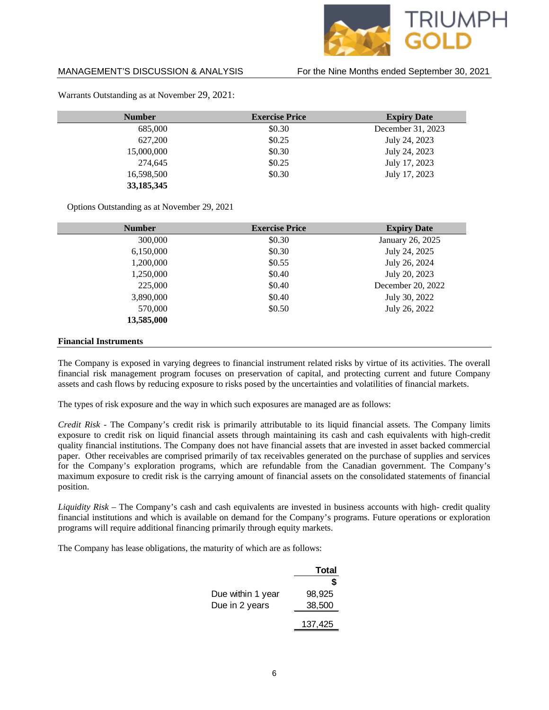

| <b>Number</b> | <b>Exercise Price</b> | <b>Expiry Date</b> |  |  |
|---------------|-----------------------|--------------------|--|--|
| 685,000       | \$0.30                | December 31, 2023  |  |  |
| 627,200       | \$0.25                | July 24, 2023      |  |  |
| 15,000,000    | \$0.30                | July 24, 2023      |  |  |
| 274,645       | \$0.25                | July 17, 2023      |  |  |
| 16,598,500    | \$0.30                | July 17, 2023      |  |  |
| 33, 185, 345  |                       |                    |  |  |

Warrants Outstanding as at November 29, 2021:

Options Outstanding as at November 29, 2021

| <b>Number</b>                | <b>Exercise Price</b> | <b>Expiry Date</b> |
|------------------------------|-----------------------|--------------------|
| 300,000                      | \$0.30                | January 26, 2025   |
| 6,150,000                    | \$0.30                | July 24, 2025      |
| 1,200,000                    | \$0.55                | July 26, 2024      |
| 1,250,000                    | \$0.40                | July 20, 2023      |
| 225,000                      | \$0.40                | December 20, 2022  |
| 3,890,000                    | \$0.40                | July 30, 2022      |
| 570,000                      | \$0.50                | July 26, 2022      |
| 13,585,000                   |                       |                    |
| <b>Financial Instruments</b> |                       |                    |

The Company is exposed in varying degrees to financial instrument related risks by virtue of its activities. The overall financial risk management program focuses on preservation of capital, and protecting current and future Company assets and cash flows by reducing exposure to risks posed by the uncertainties and volatilities of financial markets.

The types of risk exposure and the way in which such exposures are managed are as follows:

*Credit Risk* - The Company's credit risk is primarily attributable to its liquid financial assets. The Company limits exposure to credit risk on liquid financial assets through maintaining its cash and cash equivalents with high-credit quality financial institutions. The Company does not have financial assets that are invested in asset backed commercial paper. Other receivables are comprised primarily of tax receivables generated on the purchase of supplies and services for the Company's exploration programs, which are refundable from the Canadian government. The Company's maximum exposure to credit risk is the carrying amount of financial assets on the consolidated statements of financial position.

*Liquidity Risk –* The Company's cash and cash equivalents are invested in business accounts with high- credit quality financial institutions and which is available on demand for the Company's programs. Future operations or exploration programs will require additional financing primarily through equity markets.

The Company has lease obligations, the maturity of which are as follows:

|                   | Total   |
|-------------------|---------|
|                   | S       |
| Due within 1 year | 98,925  |
| Due in 2 years    | 38,500  |
|                   | 137,425 |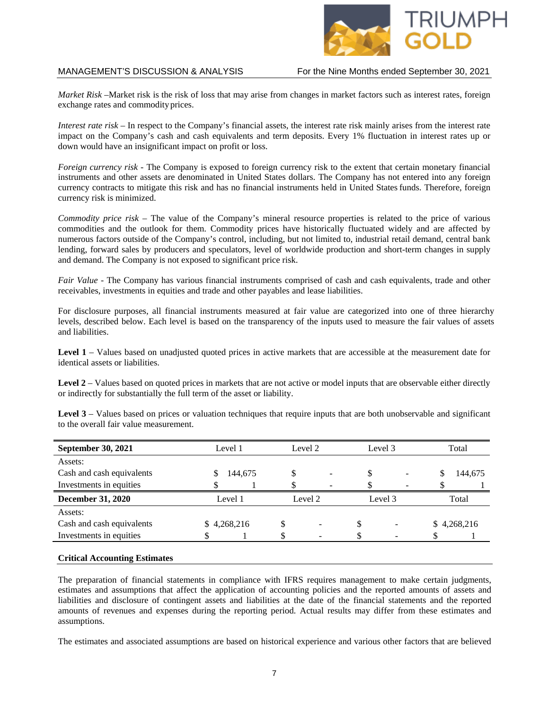

*Market Risk –*Market risk is the risk of loss that may arise from changes in market factors such as interest rates, foreign exchange rates and commodityprices.

*Interest rate risk* – In respect to the Company's financial assets, the interest rate risk mainly arises from the interest rate impact on the Company's cash and cash equivalents and term deposits. Every 1% fluctuation in interest rates up or down would have an insignificant impact on profit or loss.

*Foreign currency risk -* The Company is exposed to foreign currency risk to the extent that certain monetary financial instruments and other assets are denominated in United States dollars. The Company has not entered into any foreign currency contracts to mitigate this risk and has no financial instruments held in United Statesfunds. Therefore, foreign currency risk is minimized.

*Commodity price risk –* The value of the Company's mineral resource properties is related to the price of various commodities and the outlook for them. Commodity prices have historically fluctuated widely and are affected by numerous factors outside of the Company's control, including, but not limited to, industrial retail demand, central bank lending, forward sales by producers and speculators, level of worldwide production and short-term changes in supply and demand. The Company is not exposed to significant price risk.

*Fair Value -* The Company has various financial instruments comprised of cash and cash equivalents, trade and other receivables, investments in equities and trade and other payables and lease liabilities.

For disclosure purposes, all financial instruments measured at fair value are categorized into one of three hierarchy levels, described below. Each level is based on the transparency of the inputs used to measure the fair values of assets and liabilities.

Level 1 – Values based on unadjusted quoted prices in active markets that are accessible at the measurement date for identical assets or liabilities.

Level 2 – Values based on quoted prices in markets that are not active or model inputs that are observable either directly or indirectly for substantially the full term of the asset or liability.

Level 3 – Values based on prices or valuation techniques that require inputs that are both unobservable and significant to the overall fair value measurement.

| <b>September 30, 2021</b> |             | Level 1 |  | Level 2 |    | Level 3                  |    | Total       |  |
|---------------------------|-------------|---------|--|---------|----|--------------------------|----|-------------|--|
| Assets:                   |             |         |  |         |    |                          |    |             |  |
| Cash and cash equivalents |             | 144,675 |  |         |    |                          | \$ | 144,675     |  |
| Investments in equities   |             |         |  | -       |    | $\overline{\phantom{0}}$ |    |             |  |
| <b>December 31, 2020</b>  | Level 1     |         |  | Level 2 |    | Level 3                  |    | Total       |  |
| Assets:                   |             |         |  |         |    |                          |    |             |  |
| Cash and cash equivalents | \$4,268,216 |         |  |         | \$ |                          |    | \$4,268,216 |  |
| Investments in equities   |             |         |  |         |    |                          |    |             |  |
|                           |             |         |  |         |    |                          |    |             |  |

### **Critical Accounting Estimates**

The preparation of financial statements in compliance with IFRS requires management to make certain judgments, estimates and assumptions that affect the application of accounting policies and the reported amounts of assets and liabilities and disclosure of contingent assets and liabilities at the date of the financial statements and the reported amounts of revenues and expenses during the reporting period. Actual results may differ from these estimates and assumptions.

The estimates and associated assumptions are based on historical experience and various other factors that are believed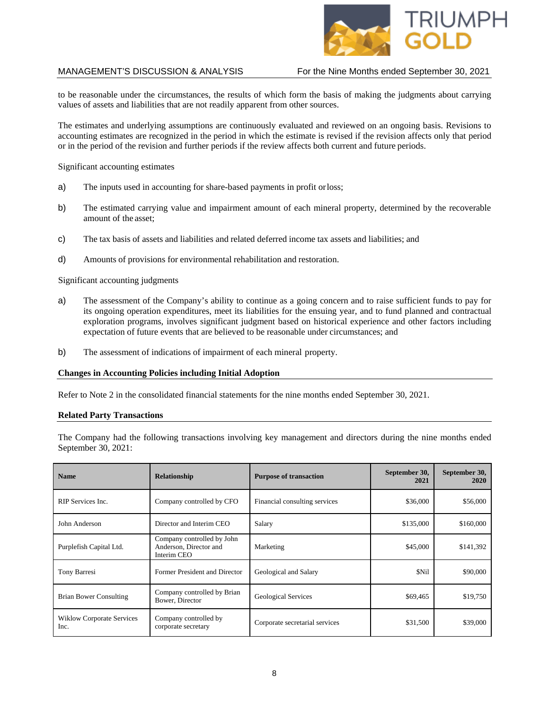

to be reasonable under the circumstances, the results of which form the basis of making the judgments about carrying values of assets and liabilities that are not readily apparent from other sources.

The estimates and underlying assumptions are continuously evaluated and reviewed on an ongoing basis. Revisions to accounting estimates are recognized in the period in which the estimate is revised if the revision affects only that period or in the period of the revision and further periods if the review affects both current and future periods.

Significant accounting estimates

- a) The inputs used in accounting for share-based payments in profit orloss;
- b) The estimated carrying value and impairment amount of each mineral property, determined by the recoverable amount of the asset;
- c) The tax basis of assets and liabilities and related deferred income tax assets and liabilities; and
- d) Amounts of provisions for environmental rehabilitation and restoration.

Significant accounting judgments

- a) The assessment of the Company's ability to continue as a going concern and to raise sufficient funds to pay for its ongoing operation expenditures, meet its liabilities for the ensuing year, and to fund planned and contractual exploration programs, involves significant judgment based on historical experience and other factors including expectation of future events that are believed to be reasonable under circumstances; and
- b) The assessment of indications of impairment of each mineral property.

#### **Changes in Accounting Policies including Initial Adoption**

Refer to Note 2 in the consolidated financial statements for the nine months ended September 30, 2021.

### **Related Party Transactions**

The Company had the following transactions involving key management and directors during the nine months ended September 30, 2021:

| <b>Name</b>                              | <b>Relationship</b>                                                 | <b>Purpose of transaction</b>  | September 30,<br>2021 | September 30,<br>2020 |
|------------------------------------------|---------------------------------------------------------------------|--------------------------------|-----------------------|-----------------------|
| RIP Services Inc.                        | Company controlled by CFO                                           | Financial consulting services  | \$36,000              | \$56,000              |
| John Anderson                            | Director and Interim CEO                                            | Salary                         | \$135,000             | \$160,000             |
| Purplefish Capital Ltd.                  | Company controlled by John<br>Anderson, Director and<br>Interim CEO | Marketing                      | \$45,000              | \$141,392             |
| Tony Barresi                             | Former President and Director                                       | Geological and Salary          | \$Nil                 | \$90,000              |
| Brian Bower Consulting                   | Company controlled by Brian<br>Bower, Director                      | <b>Geological Services</b>     | \$69,465              | \$19,750              |
| <b>Wiklow Corporate Services</b><br>Inc. | Company controlled by<br>corporate secretary                        | Corporate secretarial services | \$31,500              | \$39,000              |